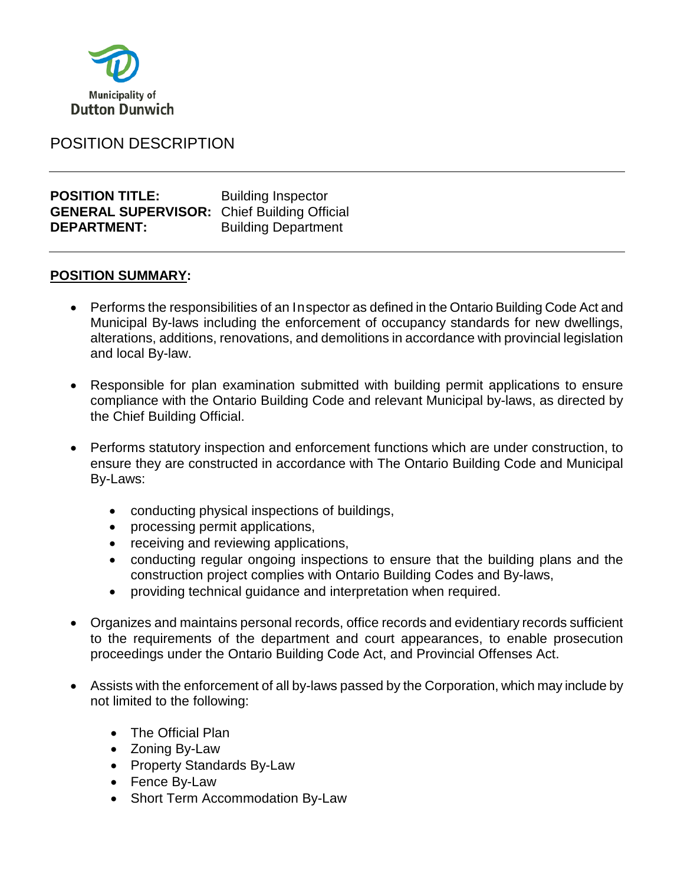

# POSITION DESCRIPTION

**POSITION TITLE:** Building Inspector **GENERAL SUPERVISOR:** Chief Building Official **DEPARTMENT:** Building Department

### **POSITION SUMMARY:**

- Performs the responsibilities of an Inspector as defined in the Ontario Building Code Act and Municipal By-laws including the enforcement of occupancy standards for new dwellings, alterations, additions, renovations, and demolitions in accordance with provincial legislation and local By-law.
- Responsible for plan examination submitted with building permit applications to ensure compliance with the Ontario Building Code and relevant Municipal by-laws, as directed by the Chief Building Official.
- Performs statutory inspection and enforcement functions which are under construction, to ensure they are constructed in accordance with The Ontario Building Code and Municipal By-Laws:
	- conducting physical inspections of buildings,
	- processing permit applications,
	- receiving and reviewing applications,
	- conducting regular ongoing inspections to ensure that the building plans and the construction project complies with Ontario Building Codes and By-laws,
	- providing technical guidance and interpretation when required.
- Organizes and maintains personal records, office records and evidentiary records sufficient to the requirements of the department and court appearances, to enable prosecution proceedings under the Ontario Building Code Act, and Provincial Offenses Act.
- Assists with the enforcement of all by-laws passed by the Corporation, which may include by not limited to the following:
	- The Official Plan
	- Zoning By-Law
	- Property Standards By-Law
	- Fence By-Law
	- Short Term Accommodation By-Law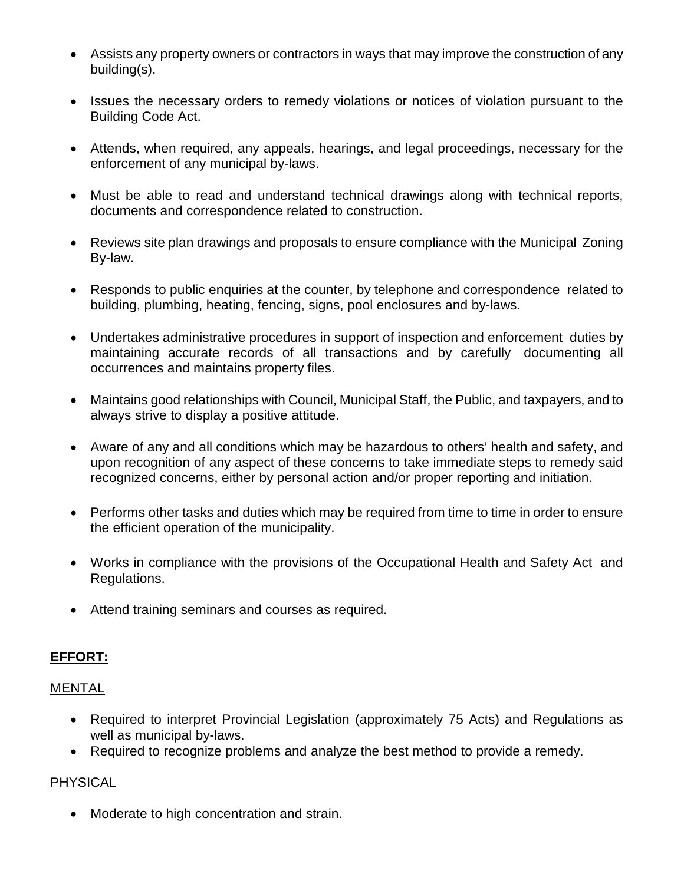- Assists any property owners or contractors in ways that may improve the construction of any building(s).
- Issues the necessary orders to remedy violations or notices of violation pursuant to the Building Code Act.
- Attends, when required, any appeals, hearings, and legal proceedings, necessary for the enforcement of any municipal by-laws.
- Must be able to read and understand technical drawings along with technical reports, documents and correspondence related to construction.
- Reviews site plan drawings and proposals to ensure compliance with the Municipal Zoning By-law.
- Responds to public enquiries at the counter, by telephone and correspondence related to building, plumbing, heating, fencing, signs, pool enclosures and by-laws.
- Undertakes administrative procedures in support of inspection and enforcement duties by maintaining accurate records of all transactions and by carefully documenting all occurrences and maintains property files.
- Maintains good relationships with Council, Municipal Staff, the Public, and taxpayers, and to always strive to display a positive attitude.
- Aware of any and all conditions which may be hazardous to others' health and safety, and upon recognition of any aspect of these concerns to take immediate steps to remedy said recognized concerns, either by personal action and/or proper reporting and initiation.
- Performs other tasks and duties which may be required from time to time in order to ensure the efficient operation of the municipality.
- Works in compliance with the provisions of the Occupational Health and Safety Act and Regulations.
- Attend training seminars and courses as required.

### **EFFORT:**

#### MENTAL

- Required to interpret Provincial Legislation (approximately 75 Acts) and Regulations as well as municipal by-laws.
- Required to recognize problems and analyze the best method to provide a remedy.

### PHYSICAL

• Moderate to high concentration and strain.